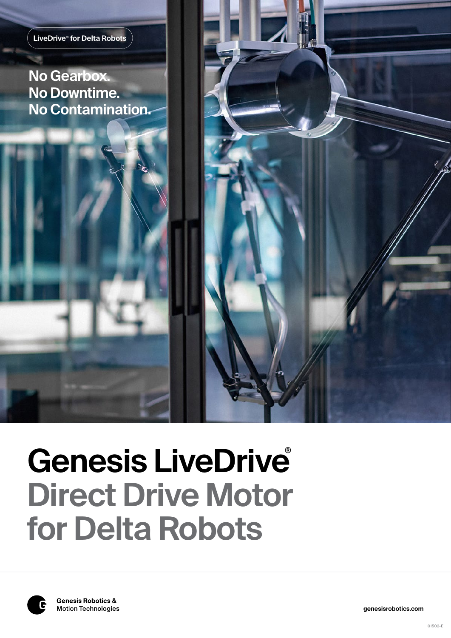

**No Gearbox. No Downtime. No Contamination.**





**genesisrobotics.com**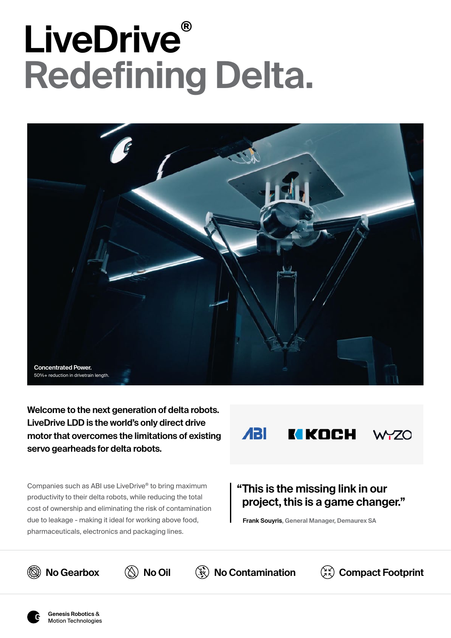# **LiveDrive® Redefining Delta.**



**Welcome to the next generation of delta robots. LiveDrive LDD is the world's only direct drive motor that overcomes the limitations of existing servo gearheads for delta robots.** 

Companies such as ABI use LiveDrive® to bring maximum productivity to their delta robots, while reducing the total cost of ownership and eliminating the risk of contamination due to leakage - making it ideal for working above food, pharmaceuticals, electronics and packaging lines.



## **"This is the missing link in our project, this is a game changer."**

**Compact Footprint**

**Frank Souyris, General Manager, Demaurex SA**



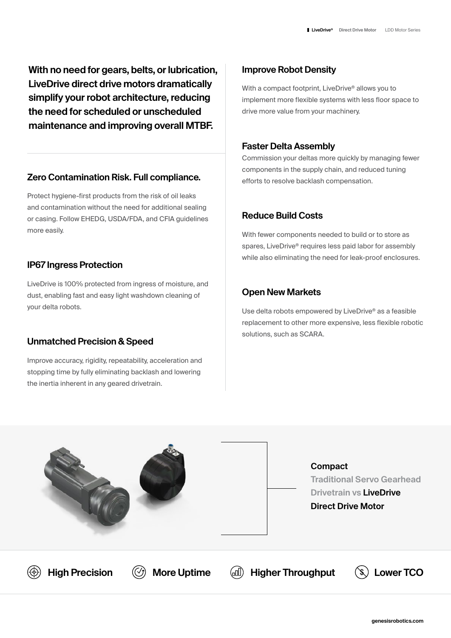**With no need for gears, belts, or lubrication, LiveDrive direct drive motors dramatically simplify your robot architecture, reducing the need for scheduled or unscheduled maintenance and improving overall MTBF.**

### **Zero Contamination Risk. Full compliance.**

Protect hygiene-first products from the risk of oil leaks and contamination without the need for additional sealing or casing. Follow EHEDG, USDA/FDA, and CFIA guidelines more easily.

### **IP67 Ingress Protection**

LiveDrive is 100% protected from ingress of moisture, and dust, enabling fast and easy light washdown cleaning of your delta robots.

#### **Unmatched Precision & Speed**

Improve accuracy, rigidity, repeatability, acceleration and stopping time by fully eliminating backlash and lowering the inertia inherent in any geared drivetrain.

### **Improve Robot Density**

With a compact footprint, LiveDrive<sup>®</sup> allows you to implement more flexible systems with less floor space to drive more value from your machinery.

#### **Faster Delta Assembly**

Commission your deltas more quickly by managing fewer components in the supply chain, and reduced tuning efforts to resolve backlash compensation.

## **Reduce Build Costs**

With fewer components needed to build or to store as spares, LiveDrive® requires less paid labor for assembly while also eliminating the need for leak-proof enclosures.

## **Open New Markets**

Use delta robots empowered by LiveDrive® as a feasible replacement to other more expensive, less flexible robotic solutions, such as SCARA.

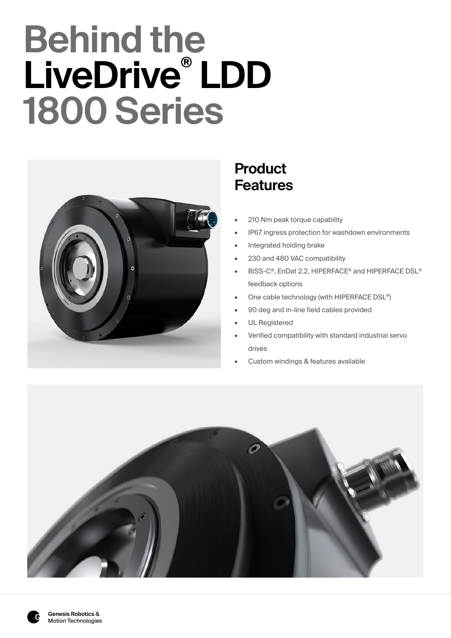# **Behind the LiveDrive® LDD 1800 Series**



## **Product Features**

- 210 Nm peak torque capability
- IP67 ingress protection for washdown environments
- Integrated holding brake
- 230 and 480 VAC compatibility
- BiSS-C®, EnDat 2.2, HIPERFACE® and HIPERFACE DSL® feedback options
- One cable technology (with HIPERFACE DSL®)
- 90 deg and in-line field cables provided
- UL Registered
- Verified compatibility with standard industrial servo drives
- Custom windings & features available

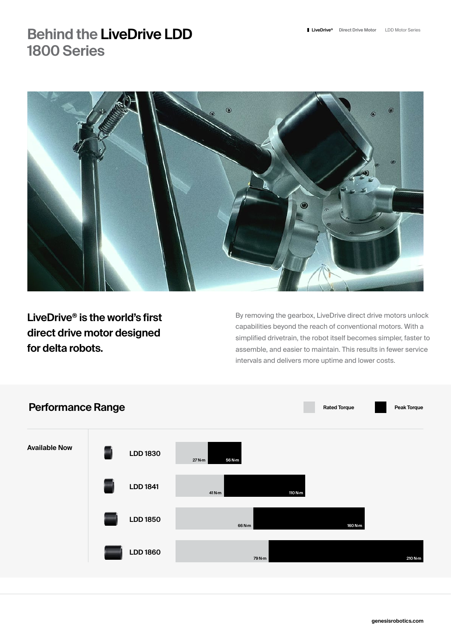## **Behind the LiveDrive LDD 1800 Series**



**LiveDrive® is the world's first direct drive motor designed for delta robots.** 

By removing the gearbox, LiveDrive direct drive motors unlock capabilities beyond the reach of conventional motors. With a simplified drivetrain, the robot itself becomes simpler, faster to assemble, and easier to maintain. This results in fewer service intervals and delivers more uptime and lower costs.

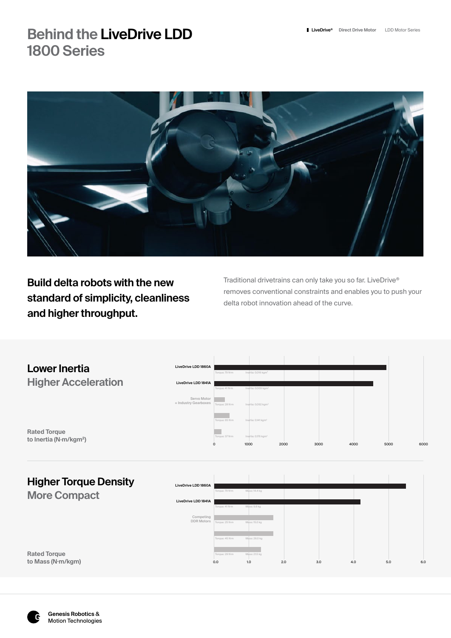## **Behind the LiveDrive LDD LiveDrive LiveDrive Direct Drive Motor** LDD Motor Series **1800 Series**



**Build delta robots with the new standard of simplicity, cleanliness and higher throughput.** 

Traditional drivetrains can only take you so far. LiveDrive® removes conventional constraints and enables you to push your delta robot innovation ahead of the curve.

|                                                           |                                     | $\circ$        | 1000                            | 2000 | 3000 | 4000 | 5000 | 6000 |
|-----------------------------------------------------------|-------------------------------------|----------------|---------------------------------|------|------|------|------|------|
| <b>Rated Torque</b><br>to Inertia (N·m/kgm <sup>2</sup> ) |                                     | Torque: 37 N·m | Inertia: 0.176 kgm <sup>2</sup> |      |      |      |      |      |
|                                                           |                                     | Torque: 65 N-m | Inertia: 0.141 kgm2             |      |      |      |      |      |
|                                                           | Servo Motor<br>+ Industry Gearboxes | Torque: 28 N·m | Inertia: 0.092 kgm <sup>2</sup> |      |      |      |      |      |
| <b>Higher Acceleration</b>                                | LiveDrive LDD 1841A                 | Torque: 41 N-m | Inertia: 0.009 kgm <sup>2</sup> |      |      |      |      |      |
| <b>Lower Inertia</b>                                      |                                     | Torque: 79 N·m | Inertia: 0.016 kgm <sup>2</sup> |      |      |      |      |      |
|                                                           | LiveDrive LDD 1860A                 |                |                                 |      |      |      |      |      |

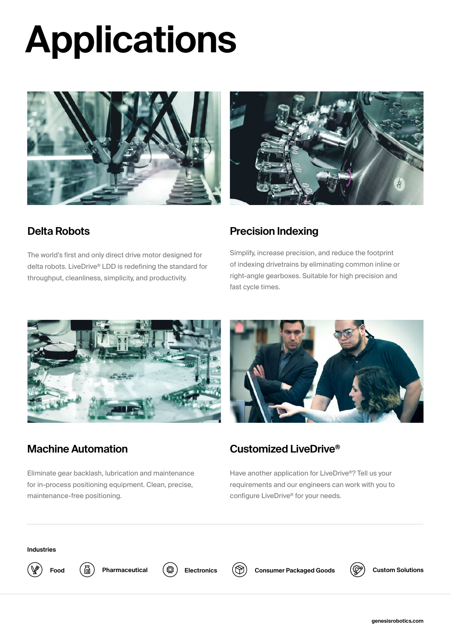# **Applications**





## **Delta Robots**

The world's first and only direct drive motor designed for delta robots. LiveDrive® LDD is redefining the standard for throughput, cleanliness, simplicity, and productivity.

## **Precision Indexing**

Simplify, increase precision, and reduce the footprint of indexing drivetrains by eliminating common inline or right-angle gearboxes. Suitable for high precision and fast cycle times.



## **Machine Automation**

Eliminate gear backlash, lubrication and maintenance for in-process positioning equipment. Clean, precise, maintenance-free positioning.



## **Customized LiveDrive®**

Have another application for LiveDrive®? Tell us your requirements and our engineers can work with you to configure LiveDrive® for your needs.

#### **Industries**





**Food**  $(\overline{\text{a}})$  Pharmaceutical  $(\overline{\text{c}})$  Electronics  $(\widehat{\text{b}})$  Consumer Packaged Goods



**Custom Solutions**